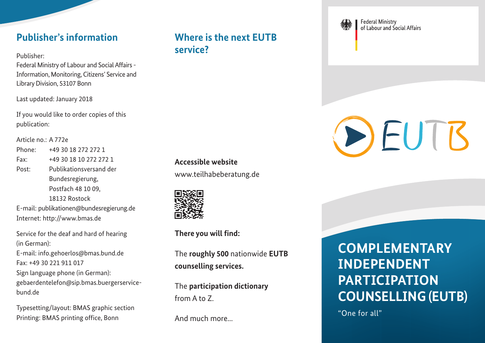#### **Publisher's information**

Publisher:

Federal Ministry of Labour and Social Affairs - Information, Monitoring, Citizens' Service and Library Division, 53107 Bonn

Last updated: January 2018

If you would like to order copies of this publication:

Article no.: A 772e

Phone: +49 30 18 272 272 1 Fax: +49 30 18 10 272 272 1 Post: Publikationsversand der Bundesregierung, Postfach 48 10 09, 18132 Rostock

E-mail: [publikationen@bundesregierung.de](mailto:publikationen@bundesregierung.de)  Internet:<http://www.bmas.de>

Service for the deaf and hard of hearing (in German): E-mail: [info.gehoerlos@bmas.bund.de](mailto:info.gehoerlos@bmas.bund.de)  Fax: +49 30 221 911 017 Sign language phone (in German): [gebaerdentelefon@sip.bmas.buergerservice](mailto:gebaerdentelefon@sip.bmas.buergerservice-bund.de)bund.de

Typesetting/layout: BMAS graphic section Printing: BMAS printing office, Bonn

#### **Where is the next EUTB service?**

**Accessible website**

[www.teilhabeberatung.de](http://www.teilhabeberatung.de)



**There you will find:**

The **roughly 500** nationwide **EUTB counselling services.**

The **participation dictionary** from A to Z.

And much more...



**Federal Ministry** of Labour and Social Affairs

# DEUTB

## **COMPLEMENTARY INDEPENDENT PARTICIPATION COUNSELLING (EUTB)**

"One for all"